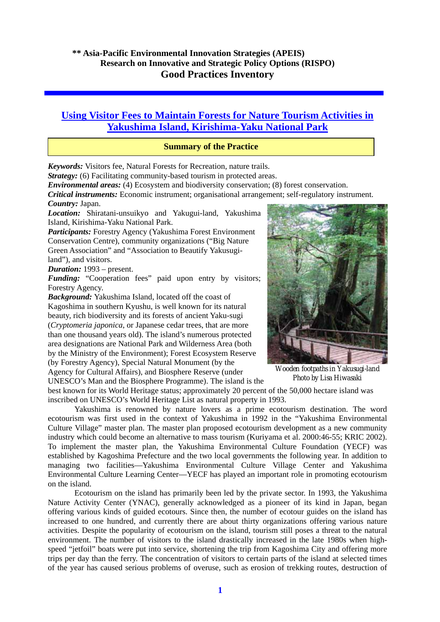# **Using Visitor Fees to Maintain Forests for Nature Tourism Activities in Yakushima Island, Kirishima-Yaku National Park**

# **Summary of the Practice**

*Keywords:* Visitors fee, Natural Forests for Recreation, nature trails.

*Strategy:* (6) Facilitating community-based tourism in protected areas.

*Environmental areas:* (4) Ecosystem and biodiversity conservation; (8) forest conservation.

*Critical instruments:* Economic instrument; organisational arrangement; self-regulatory instrument.

*Country:* Japan.

*Location:* Shiratani-unsuikyo and Yakugui-land, Yakushima Island, Kirishima-Yaku National Park.

*Participants:* Forestry Agency (Yakushima Forest Environment Conservation Centre), community organizations ("Big Nature Green Association" and "Association to Beautify Yakusugiland"), and visitors.

*Duration:* 1993 – present.

Funding: "Cooperation fees" paid upon entry by visitors; Forestry Agency.

*Background:* Yakushima Island, located off the coast of Kagoshima in southern Kyushu, is well known for its natural beauty, rich biodiversity and its forests of ancient Yaku-sugi (*Cryptomeria japonica*, or Japanese cedar trees, that are more than one thousand years old). The island's numerous protected area designations are National Park and Wilderness Area (both by the Ministry of the Environment); Forest Ecosystem Reserve (by Forestry Agency), Special Natural Monument (by the Agency for Cultural Affairs), and Biosphere Reserve (under UNESCO's Man and the Biosphere Programme). The island is the

best known for its World Heritage status; approximately 20 percent of the 50,000 hectare island was inscribed on UNESCO's World Heritage List as natural property in 1993.

Yakushima is renowned by nature lovers as a prime ecotourism destination. The word ecotourism was first used in the context of Yakushima in 1992 in the "Yakushima Environmental Culture Village" master plan. The master plan proposed ecotourism development as a new community industry which could become an alternative to mass tourism (Kuriyama et al. 2000:46-55; KRIC 2002). To implement the master plan, the Yakushima Environmental Culture Foundation (YECF) was established by Kagoshima Prefecture and the two local governments the following year. In addition to managing two facilities—Yakushima Environmental Culture Village Center and Yakushima Environmental Culture Learning Center—YECF has played an important role in promoting ecotourism on the island.

Ecotourism on the island has primarily been led by the private sector. In 1993, the Yakushima Nature Activity Center (YNAC), generally acknowledged as a pioneer of its kind in Japan, began offering various kinds of guided ecotours. Since then, the number of ecotour guides on the island has increased to one hundred, and currently there are about thirty organizations offering various nature activities. Despite the popularity of ecotourism on the island, tourism still poses a threat to the natural environment. The number of visitors to the island drastically increased in the late 1980s when highspeed "jetfoil" boats were put into service, shortening the trip from Kagoshima City and offering more trips per day than the ferry. The concentration of visitors to certain parts of the island at selected times of the year has caused serious problems of overuse, such as erosion of trekking routes, destruction of



*Wooden footpaths in Yakusugi-land Photo by Lisa Hiwasaki*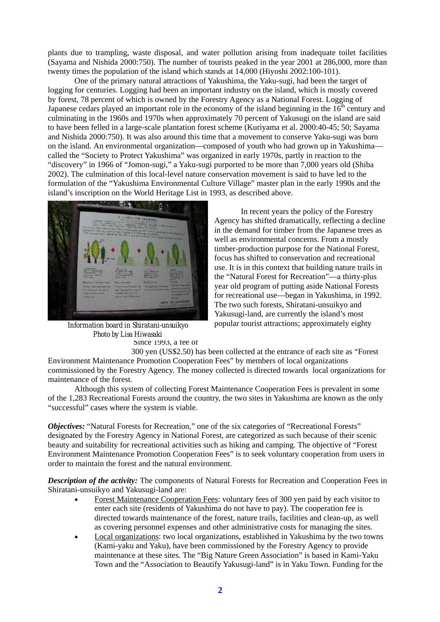plants due to trampling, waste disposal, and water pollution arising from inadequate toilet facilities (Sayama and Nishida 2000:750). The number of tourists peaked in the year 2001 at 286,000, more than twenty times the population of the island which stands at 14,000 (Hiyoshi 2002:100-101).

One of the primary natural attractions of Yakushima, the Yaku-sugi, had been the target of logging for centuries. Logging had been an important industry on the island, which is mostly covered by forest, 78 percent of which is owned by the Forestry Agency as a National Forest. Logging of Japanese cedars played an important role in the economy of the island beginning in the  $16<sup>th</sup>$  century and culminating in the 1960s and 1970s when approximately 70 percent of Yakusugi on the island are said to have been felled in a large-scale plantation forest scheme (Kuriyama et al. 2000:40-45; 50; Sayama and Nishida 2000:750). It was also around this time that a movement to conserve Yaku-sugi was born on the island. An environmental organization—composed of youth who had grown up in Yakushima called the "Society to Protect Yakushima" was organized in early 1970s, partly in reaction to the "discovery" in 1966 of "Jomon-sugi," a Yaku-sugi purported to be more than 7,000 years old (Shiba 2002). The culmination of this local-level nature conservation movement is said to have led to the formulation of the "Yakushima Environmental Culture Village" master plan in the early 1990s and the island's inscription on the World Heritage List in 1993, as described above.



*Photo by Lisa Hiwasaki*  Since 1993, a fee of *Information board in Shiratani-unsuikyo* 

 In recent years the policy of the Forestry Agency has shifted dramatically, reflecting a decline in the demand for timber from the Japanese trees as well as environmental concerns. From a mostly timber-production purpose for the National Forest, focus has shifted to conservation and recreational use. It is in this context that building nature trails in the "Natural Forest for Recreation"—a thirty-plus year old program of putting aside National Forests for recreational use—began in Yakushima, in 1992. The two such forests, Shiratani-unsuikyo and Yakusugi-land, are currently the island's most popular tourist attractions; approximately eighty

 300 yen (US\$2.50) has been collected at the entrance of each site as "Forest Environment Maintenance Promotion Cooperation Fees" by members of local organizations commissioned by the Forestry Agency. The money collected is directed towards local organizations for maintenance of the forest.

Although this system of collecting Forest Maintenance Cooperation Fees is prevalent in some of the 1,283 Recreational Forests around the country, the two sites in Yakushima are known as the only "successful" cases where the system is viable.

*Objectives:* "Natural Forests for Recreation," one of the six categories of "Recreational Forests" designated by the Forestry Agency in National Forest, are categorized as such because of their scenic beauty and suitability for recreational activities such as hiking and camping. The objective of "Forest Environment Maintenance Promotion Cooperation Fees" is to seek voluntary cooperation from users in order to maintain the forest and the natural environment.

*Description of the activity:* The components of Natural Forests for Recreation and Cooperation Fees in Shiratani-unsuikyo and Yakusugi-land are:

- Forest Maintenance Cooperation Fees: voluntary fees of 300 yen paid by each visitor to enter each site (residents of Yakushima do not have to pay). The cooperation fee is directed towards maintenance of the forest, nature trails, facilities and clean-up, as well as covering personnel expenses and other administrative costs for managing the sites.
- Local organizations: two local organizations, established in Yakushima by the two towns (Kami-yaku and Yaku), have been commissioned by the Forestry Agency to provide maintenance at these sites. The "Big Nature Green Association" is based in Kami-Yaku Town and the "Association to Beautify Yakusugi-land" is in Yaku Town. Funding for the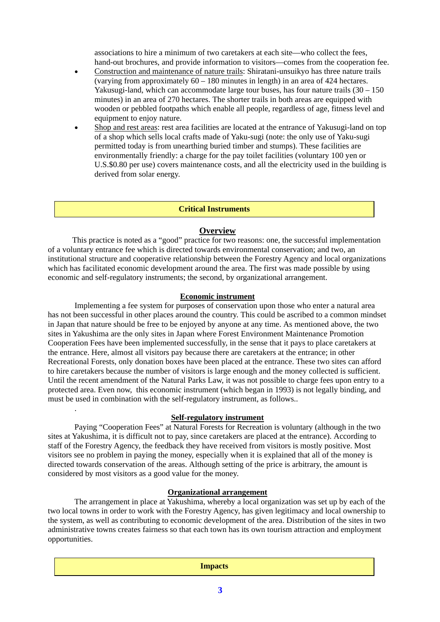associations to hire a minimum of two caretakers at each site—who collect the fees, hand-out brochures, and provide information to visitors—comes from the cooperation fee.

- Construction and maintenance of nature trails: Shiratani-unsuikyo has three nature trails (varying from approximately  $60 - 180$  minutes in length) in an area of 424 hectares. Yakusugi-land, which can accommodate large tour buses, has four nature trails  $(30 - 150)$ minutes) in an area of 270 hectares. The shorter trails in both areas are equipped with wooden or pebbled footpaths which enable all people, regardless of age, fitness level and equipment to enjoy nature.
- Shop and rest areas: rest area facilities are located at the entrance of Yakusugi-land on top of a shop which sells local crafts made of Yaku-sugi (note: the only use of Yaku-sugi permitted today is from unearthing buried timber and stumps). These facilities are environmentally friendly: a charge for the pay toilet facilities (voluntary 100 yen or U.S.\$0.80 per use) covers maintenance costs, and all the electricity used in the building is derived from solar energy.

#### **Critical Instruments**

#### **Overview**

This practice is noted as a "good" practice for two reasons: one, the successful implementation of a voluntary entrance fee which is directed towards environmental conservation; and two, an institutional structure and cooperative relationship between the Forestry Agency and local organizations which has facilitated economic development around the area. The first was made possible by using economic and self-regulatory instruments; the second, by organizational arrangement.

#### **Economic instrument**

Implementing a fee system for purposes of conservation upon those who enter a natural area has not been successful in other places around the country. This could be ascribed to a common mindset in Japan that nature should be free to be enjoyed by anyone at any time. As mentioned above, the two sites in Yakushima are the only sites in Japan where Forest Environment Maintenance Promotion Cooperation Fees have been implemented successfully, in the sense that it pays to place caretakers at the entrance. Here, almost all visitors pay because there are caretakers at the entrance; in other Recreational Forests, only donation boxes have been placed at the entrance. These two sites can afford to hire caretakers because the number of visitors is large enough and the money collected is sufficient. Until the recent amendment of the Natural Parks Law, it was not possible to charge fees upon entry to a protected area. Even now, this economic instrument (which began in 1993) is not legally binding, and must be used in combination with the self-regulatory instrument, as follows..

### **Self-regulatory instrument**

.

Paying "Cooperation Fees" at Natural Forests for Recreation is voluntary (although in the two sites at Yakushima, it is difficult not to pay, since caretakers are placed at the entrance). According to staff of the Forestry Agency, the feedback they have received from visitors is mostly positive. Most visitors see no problem in paying the money, especially when it is explained that all of the money is directed towards conservation of the areas. Although setting of the price is arbitrary, the amount is considered by most visitors as a good value for the money.

### **Organizational arrangement**

The arrangement in place at Yakushima, whereby a local organization was set up by each of the two local towns in order to work with the Forestry Agency, has given legitimacy and local ownership to the system, as well as contributing to economic development of the area. Distribution of the sites in two administrative towns creates fairness so that each town has its own tourism attraction and employment opportunities.

| <b>Impacts</b> |  |
|----------------|--|
|                |  |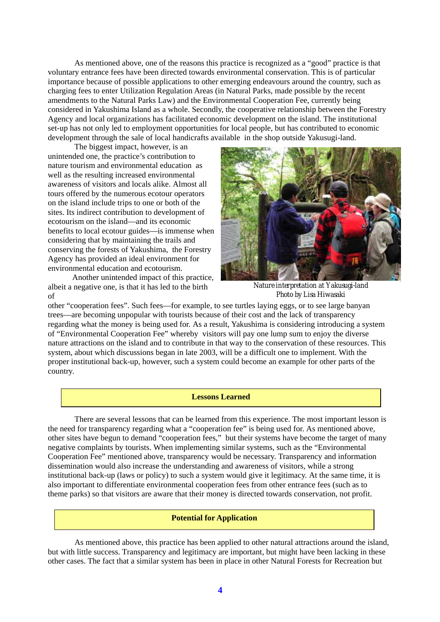As mentioned above, one of the reasons this practice is recognized as a "good" practice is that voluntary entrance fees have been directed towards environmental conservation. This is of particular importance because of possible applications to other emerging endeavours around the country, such as charging fees to enter Utilization Regulation Areas (in Natural Parks, made possible by the recent amendments to the Natural Parks Law) and the Environmental Cooperation Fee, currently being considered in Yakushima Island as a whole. Secondly, the cooperative relationship between the Forestry Agency and local organizations has facilitated economic development on the island. The institutional set-up has not only led to employment opportunities for local people, but has contributed to economic development through the sale of local handicrafts available in the shop outside Yakusugi-land.

The biggest impact, however, is an unintended one, the practice's contribution to nature tourism and environmental education as well as the resulting increased environmental awareness of visitors and locals alike. Almost all tours offered by the numerous ecotour operators on the island include trips to one or both of the sites. Its indirect contribution to development of ecotourism on the island—and its economic benefits to local ecotour guides—is immense when considering that by maintaining the trails and conserving the forests of Yakushima, the Forestry Agency has provided an ideal environment for environmental education and ecotourism.

Another unintended impact of this practice, albeit a negative one, is that it has led to the birth of



*Nature interpretation at Yakusugi-land Photo by Lisa Hiwasaki* 

other "cooperation fees". Such fees—for example, to see turtles laying eggs, or to see large banyan trees—are becoming unpopular with tourists because of their cost and the lack of transparency regarding what the money is being used for. As a result, Yakushima is considering introducing a system of "Environmental Cooperation Fee" whereby visitors will pay one lump sum to enjoy the diverse nature attractions on the island and to contribute in that way to the conservation of these resources. This system, about which discussions began in late 2003, will be a difficult one to implement. With the proper institutional back-up, however, such a system could become an example for other parts of the country.

#### **Lessons Learned**

 There are several lessons that can be learned from this experience. The most important lesson is the need for transparency regarding what a "cooperation fee" is being used for. As mentioned above, other sites have begun to demand "cooperation fees," but their systems have become the target of many negative complaints by tourists. When implementing similar systems, such as the "Environmental Cooperation Fee" mentioned above, transparency would be necessary. Transparency and information dissemination would also increase the understanding and awareness of visitors, while a strong institutional back-up (laws or policy) to such a system would give it legitimacy. At the same time, it is also important to differentiate environmental cooperation fees from other entrance fees (such as to theme parks) so that visitors are aware that their money is directed towards conservation, not profit.

#### **Potential for Application**

As mentioned above, this practice has been applied to other natural attractions around the island, but with little success. Transparency and legitimacy are important, but might have been lacking in these other cases. The fact that a similar system has been in place in other Natural Forests for Recreation but